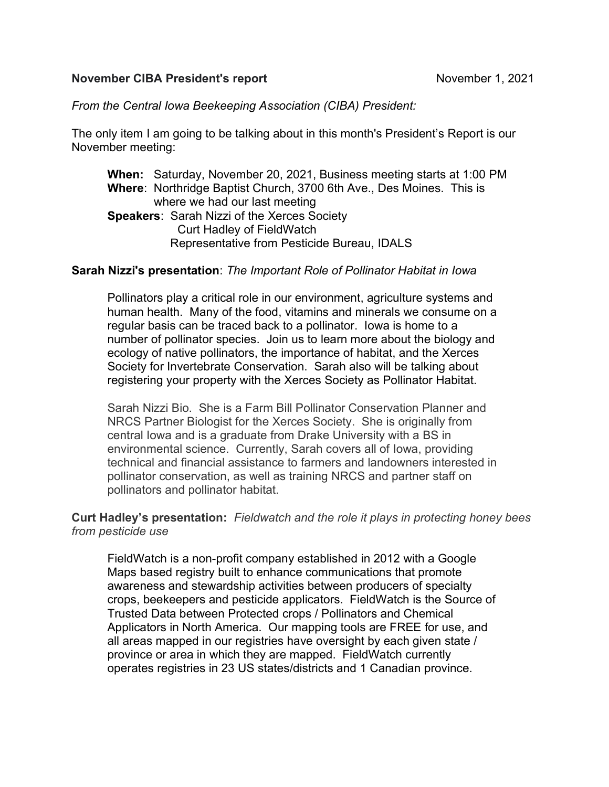### November CIBA President's report November 1, 2021

# From the Central Iowa Beekeeping Association (CIBA) President:

The only item I am going to be talking about in this month's President's Report is our November meeting:

When: Saturday, November 20, 2021, Business meeting starts at 1:00 PM Where: Northridge Baptist Church, 3700 6th Ave., Des Moines. This is where we had our last meeting Speakers: Sarah Nizzi of the Xerces Society Curt Hadley of FieldWatch Representative from Pesticide Bureau, IDALS

### Sarah Nizzi's presentation: The Important Role of Pollinator Habitat in Iowa

Pollinators play a critical role in our environment, agriculture systems and human health. Many of the food, vitamins and minerals we consume on a regular basis can be traced back to a pollinator. Iowa is home to a number of pollinator species. Join us to learn more about the biology and ecology of native pollinators, the importance of habitat, and the Xerces Society for Invertebrate Conservation. Sarah also will be talking about registering your property with the Xerces Society as Pollinator Habitat.

Sarah Nizzi Bio. She is a Farm Bill Pollinator Conservation Planner and NRCS Partner Biologist for the Xerces Society. She is originally from central Iowa and is a graduate from Drake University with a BS in environmental science. Currently, Sarah covers all of Iowa, providing technical and financial assistance to farmers and landowners interested in pollinator conservation, as well as training NRCS and partner staff on pollinators and pollinator habitat.

## Curt Hadley's presentation: Fieldwatch and the role it plays in protecting honey bees from pesticide use

FieldWatch is a non-profit company established in 2012 with a Google Maps based registry built to enhance communications that promote awareness and stewardship activities between producers of specialty crops, beekeepers and pesticide applicators. FieldWatch is the Source of Trusted Data between Protected crops / Pollinators and Chemical Applicators in North America. Our mapping tools are FREE for use, and all areas mapped in our registries have oversight by each given state / province or area in which they are mapped. FieldWatch currently operates registries in 23 US states/districts and 1 Canadian province.